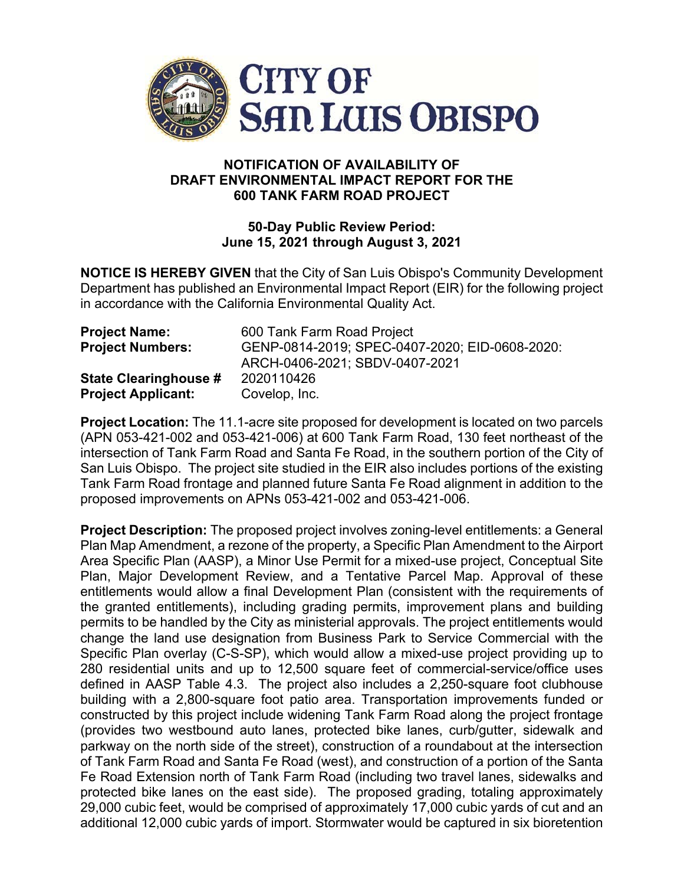

## **NOTIFICATION OF AVAILABILITY OF DRAFT ENVIRONMENTAL IMPACT REPORT FOR THE 600 TANK FARM ROAD PROJECT**

## **50-Day Public Review Period: June 15, 2021 through August 3, 2021**

**NOTICE IS HEREBY GIVEN** that the City of San Luis Obispo's Community Development Department has published an Environmental Impact Report (EIR) for the following project in accordance with the California Environmental Quality Act.

| <b>Project Name:</b>         | 600 Tank Farm Road Project                     |
|------------------------------|------------------------------------------------|
| <b>Project Numbers:</b>      | GENP-0814-2019; SPEC-0407-2020; EID-0608-2020: |
|                              | ARCH-0406-2021; SBDV-0407-2021                 |
| <b>State Clearinghouse #</b> | 2020110426                                     |
| <b>Project Applicant:</b>    | Covelop, Inc.                                  |

**Project Location:** The 11.1-acre site proposed for development is located on two parcels (APN 053-421-002 and 053-421-006) at 600 Tank Farm Road, 130 feet northeast of the intersection of Tank Farm Road and Santa Fe Road, in the southern portion of the City of San Luis Obispo. The project site studied in the EIR also includes portions of the existing Tank Farm Road frontage and planned future Santa Fe Road alignment in addition to the proposed improvements on APNs 053-421-002 and 053-421-006.

**Project Description:** The proposed project involves zoning-level entitlements: a General Plan Map Amendment, a rezone of the property, a Specific Plan Amendment to the Airport Area Specific Plan (AASP), a Minor Use Permit for a mixed-use project, Conceptual Site Plan, Major Development Review, and a Tentative Parcel Map. Approval of these entitlements would allow a final Development Plan (consistent with the requirements of the granted entitlements), including grading permits, improvement plans and building permits to be handled by the City as ministerial approvals. The project entitlements would change the land use designation from Business Park to Service Commercial with the Specific Plan overlay (C-S-SP), which would allow a mixed-use project providing up to 280 residential units and up to 12,500 square feet of commercial-service/office uses defined in AASP Table 4.3. The project also includes a 2,250-square foot clubhouse building with a 2,800-square foot patio area. Transportation improvements funded or constructed by this project include widening Tank Farm Road along the project frontage (provides two westbound auto lanes, protected bike lanes, curb/gutter, sidewalk and parkway on the north side of the street), construction of a roundabout at the intersection of Tank Farm Road and Santa Fe Road (west), and construction of a portion of the Santa Fe Road Extension north of Tank Farm Road (including two travel lanes, sidewalks and protected bike lanes on the east side). The proposed grading, totaling approximately 29,000 cubic feet, would be comprised of approximately 17,000 cubic yards of cut and an additional 12,000 cubic yards of import. Stormwater would be captured in six bioretention